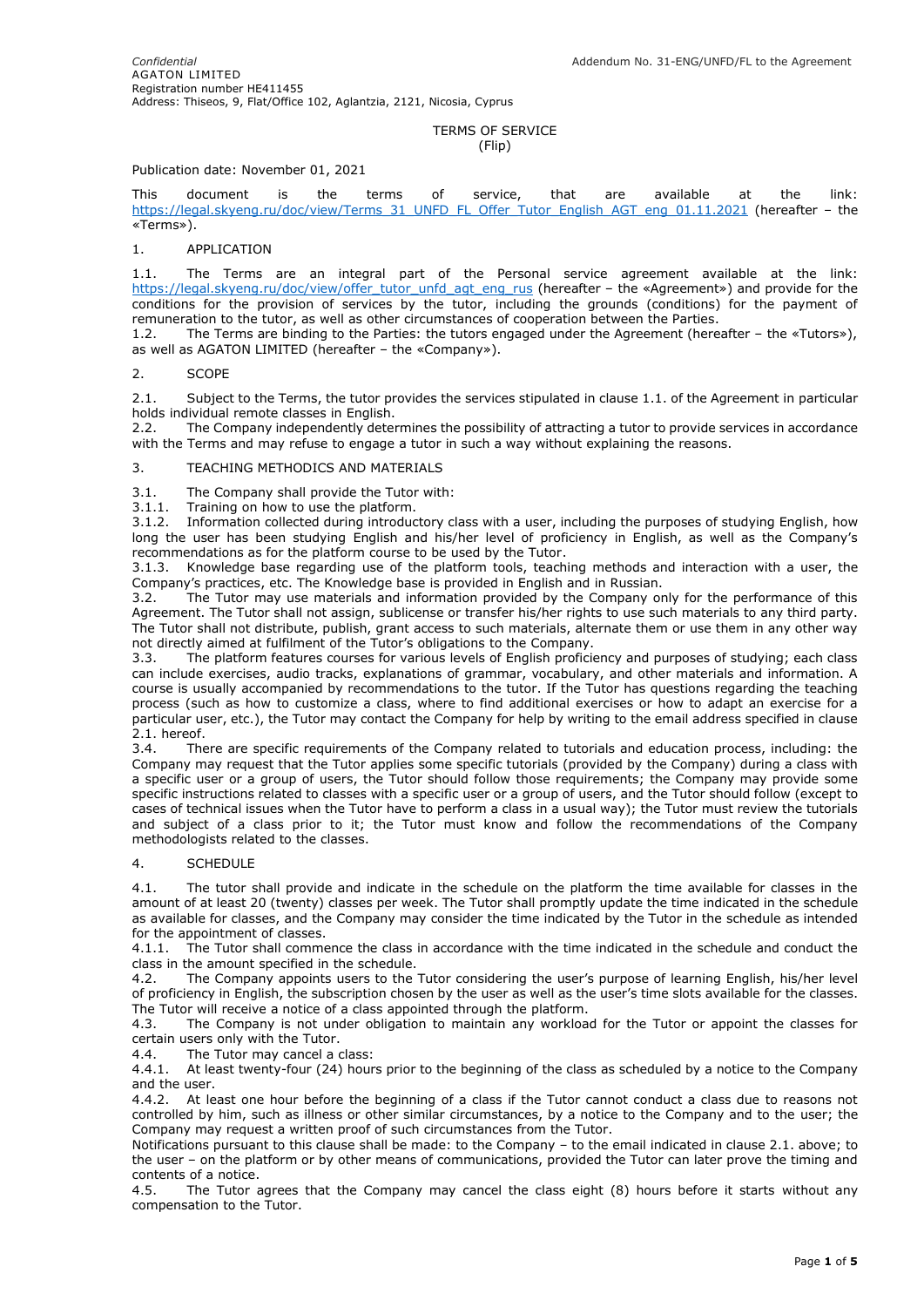#### TERMS OF SERVICE (Flip)

## Publication date: November 01, 2021

This document is the terms of service, that are available at the link: [https://legal.skyeng.ru/doc/view/Terms\\_31\\_UNFD\\_FL\\_Offer\\_Tutor\\_English\\_AGT\\_eng\\_01.11.2021](https://legal.skyeng.ru/doc/view/Terms_31_UNFD_FL_Offer_Tutor_English_AGT_eng_01.11.2021) (hereafter – the «Terms»).

#### 1. APPLICATION

1.1. The Terms are an integral part of the Personal service agreement available at the link: [https://legal.skyeng.ru/doc/view/offer\\_tutor\\_unfd\\_agt\\_eng\\_rus](https://legal.skyeng.ru/doc/view/offer_tutor_unfd_agt_eng_rus) (hereafter – the «Agreement») and provide for the conditions for the provision of services by the tutor, including the grounds (conditions) for the payment of remuneration to the tutor, as well as other circumstances of cooperation between the Parties.

1.2. The Terms are binding to the Parties: the tutors engaged under the Agreement (hereafter – the «Tutors»), as well as AGATON LIMITED (hereafter – the «Company»).

#### 2. SCOPE

2.1. Subject to the Terms, the tutor provides the services stipulated in clause 1.1. of the Agreement in particular holds individual remote classes in English.

2.2. The Company independently determines the possibility of attracting a tutor to provide services in accordance with the Terms and may refuse to engage a tutor in such a way without explaining the reasons.

# 3. TEACHING METHODICS AND MATERIALS

3.1. The Company shall provide the Tutor with:

3.1.1. Training on how to use the platform.

3.1.2. Information collected during introductory class with a user, including the purposes of studying English, how long the user has been studying English and his/her level of proficiency in English, as well as the Company's recommendations as for the platform course to be used by the Tutor.

3.1.3. Knowledge base regarding use of the platform tools, teaching methods and interaction with a user, the Company's practices, etc. The Knowledge base is provided in English and in Russian.

3.2. The Tutor may use materials and information provided by the Company only for the performance of this Agreement. The Tutor shall not assign, sublicense or transfer his/her rights to use such materials to any third party. The Tutor shall not distribute, publish, grant access to such materials, alternate them or use them in any other way not directly aimed at fulfilment of the Tutor's obligations to the Company.

3.3. The platform features courses for various levels of English proficiency and purposes of studying; each class can include exercises, audio tracks, explanations of grammar, vocabulary, and other materials and information. A course is usually accompanied by recommendations to the tutor. If the Tutor has questions regarding the teaching process (such as how to customize a class, where to find additional exercises or how to adapt an exercise for a particular user, etc.), the Tutor may contact the Company for help by writing to the email address specified in clause 2.1. hereof.

3.4. There are specific requirements of the Company related to tutorials and education process, including: the Company may request that the Tutor applies some specific tutorials (provided by the Company) during a class with a specific user or a group of users, the Tutor should follow those requirements; the Company may provide some specific instructions related to classes with a specific user or a group of users, and the Tutor should follow (except to cases of technical issues when the Tutor have to perform a class in a usual way); the Tutor must review the tutorials and subject of a class prior to it; the Tutor must know and follow the recommendations of the Company methodologists related to the classes.

## 4. SCHEDULE

4.1. The tutor shall provide and indicate in the schedule on the platform the time available for classes in the amount of at least 20 (twenty) classes per week. The Tutor shall promptly update the time indicated in the schedule as available for classes, and the Company may consider the time indicated by the Tutor in the schedule as intended for the appointment of classes.

4.1.1. The Tutor shall commence the class in accordance with the time indicated in the schedule and conduct the class in the amount specified in the schedule.

4.2. The Company appoints users to the Tutor considering the user's purpose of learning English, his/her level of proficiency in English, the subscription chosen by the user as well as the user's time slots available for the classes. The Tutor will receive a notice of a class appointed through the platform.

4.3. The Company is not under obligation to maintain any workload for the Tutor or appoint the classes for certain users only with the Tutor.

4.4. The Tutor may cancel a class:

4.4.1. At least twenty-four (24) hours prior to the beginning of the class as scheduled by a notice to the Company and the user.

4.4.2. At least one hour before the beginning of a class if the Tutor cannot conduct a class due to reasons not controlled by him, such as illness or other similar circumstances, by a notice to the Company and to the user; the Company may request a written proof of such circumstances from the Tutor.

Notifications pursuant to this clause shall be made: to the Company – to the email indicated in clause 2.1. above; to the user – on the platform or by other means of communications, provided the Tutor can later prove the timing and contents of a notice.

4.5. The Tutor agrees that the Company may cancel the class eight (8) hours before it starts without any compensation to the Tutor.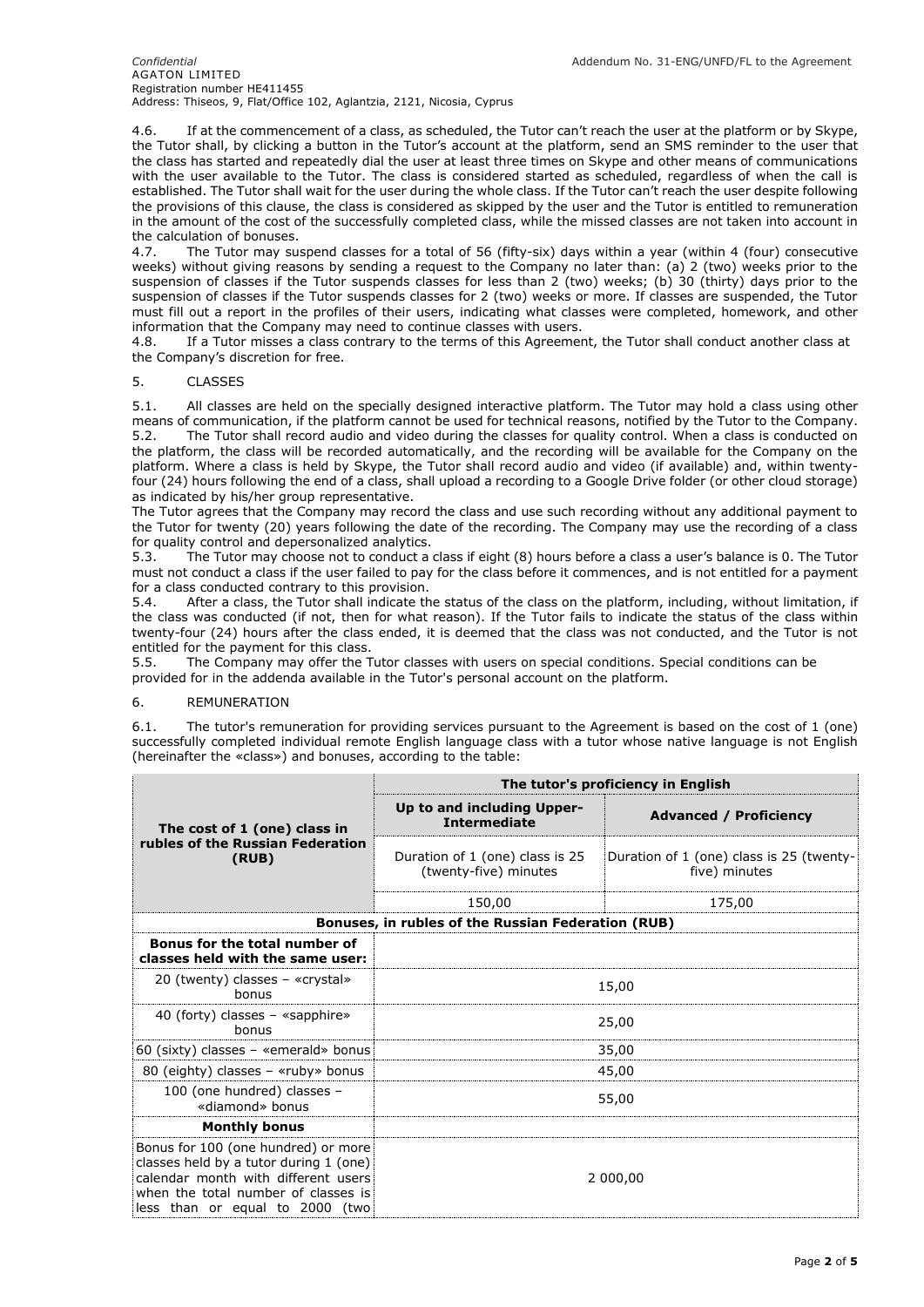#### *Confidential* Addendum No. 31-ENG/UNFD/FL to the Agreement AGATON LIMITED Registration number HE411455 Address: Thiseos, 9, Flat/Office 102, Aglantzia, 2121, Nicosia, Cyprus

4.6. If at the commencement of a class, as scheduled, the Tutor can't reach the user at the platform or by Skype, the Tutor shall, by clicking a button in the Tutor's account at the platform, send an SMS reminder to the user that the class has started and repeatedly dial the user at least three times on Skype and other means of communications with the user available to the Tutor. The class is considered started as scheduled, regardless of when the call is established. The Tutor shall wait for the user during the whole class. If the Tutor can't reach the user despite following the provisions of this clause, the class is considered as skipped by the user and the Tutor is entitled to remuneration in the amount of the cost of the successfully completed class, while the missed classes are not taken into account in the calculation of bonuses.

4.7. The Tutor may suspend classes for a total of 56 (fifty-six) days within a year (within 4 (four) consecutive weeks) without giving reasons by sending a request to the Company no later than: (a) 2 (two) weeks prior to the suspension of classes if the Tutor suspends classes for less than 2 (two) weeks; (b) 30 (thirty) days prior to the suspension of classes if the Tutor suspends classes for 2 (two) weeks or more. If classes are suspended, the Tutor must fill out a report in the profiles of their users, indicating what classes were completed, homework, and other information that the Company may need to continue classes with users.

4.8. If a Tutor misses a class contrary to the terms of this Agreement, the Tutor shall conduct another class at the Company's discretion for free.

## 5. CLASSES

5.1. All classes are held on the specially designed interactive platform. The Tutor may hold a class using other means of communication, if the platform cannot be used for technical reasons, notified by the Tutor to the Company. 5.2. The Tutor shall record audio and video during the classes for quality control. When a class is conducted on the platform, the class will be recorded automatically, and the recording will be available for the Company on the platform. Where a class is held by Skype, the Tutor shall record audio and video (if available) and, within twentyfour (24) hours following the end of a class, shall upload a recording to a Google Drive folder (or other cloud storage) as indicated by his/her group representative.

The Tutor agrees that the Company may record the class and use such recording without any additional payment to the Tutor for twenty (20) years following the date of the recording. The Company may use the recording of a class for quality control and depersonalized analytics.

5.3. The Tutor may choose not to conduct a class if eight (8) hours before a class a user's balance is 0. The Tutor must not conduct a class if the user failed to pay for the class before it commences, and is not entitled for a payment for a class conducted contrary to this provision.

5.4. After a class, the Tutor shall indicate the status of the class on the platform, including, without limitation, if the class was conducted (if not, then for what reason). If the Tutor fails to indicate the status of the class within twenty-four (24) hours after the class ended, it is deemed that the class was not conducted, and the Tutor is not entitled for the payment for this class.

5.5. The Company may offer the Tutor classes with users on special conditions. Special conditions can be provided for in the addenda available in the Tutor's personal account on the platform.

#### 6. REMUNERATION

6.1. The tutor's remuneration for providing services pursuant to the Agreement is based on the cost of 1 (one) successfully completed individual remote English language class with a tutor whose native language is not English (hereinafter the «class») and bonuses, according to the table:

|                                                                                                                                                                                                | The tutor's proficiency in English                       |                                                           |  |
|------------------------------------------------------------------------------------------------------------------------------------------------------------------------------------------------|----------------------------------------------------------|-----------------------------------------------------------|--|
| The cost of 1 (one) class in                                                                                                                                                                   | Up to and including Upper-<br><b>Intermediate</b>        | <b>Advanced / Proficiency</b>                             |  |
| rubles of the Russian Federation<br>(RUB)                                                                                                                                                      | Duration of 1 (one) class is 25<br>(twenty-five) minutes | Duration of 1 (one) class is 25 (twenty-<br>five) minutes |  |
|                                                                                                                                                                                                | 150,00                                                   | 175,00                                                    |  |
| Bonuses, in rubles of the Russian Federation (RUB)                                                                                                                                             |                                                          |                                                           |  |
| Bonus for the total number of<br>classes held with the same user:                                                                                                                              |                                                          |                                                           |  |
| 20 (twenty) classes $-$ «crystal»<br>bonus                                                                                                                                                     | 15,00                                                    |                                                           |  |
| 40 (forty) classes $-$ «sapphire»<br>bonus                                                                                                                                                     | 25,00                                                    |                                                           |  |
| 60 (sixty) classes $-$ «emerald» bonus                                                                                                                                                         | 35,00                                                    |                                                           |  |
| 80 (eighty) classes - «ruby» bonus                                                                                                                                                             | 45,00                                                    |                                                           |  |
| 100 (one hundred) classes -<br>«diamond» bonus                                                                                                                                                 | 55,00                                                    |                                                           |  |
| <b>Monthly bonus</b>                                                                                                                                                                           |                                                          |                                                           |  |
| Bonus for 100 (one hundred) or more<br>classes held by a tutor during 1 (one)<br>calendar month with different users<br>when the total number of classes is<br>less than or equal to 2000 (two | 2 000,00                                                 |                                                           |  |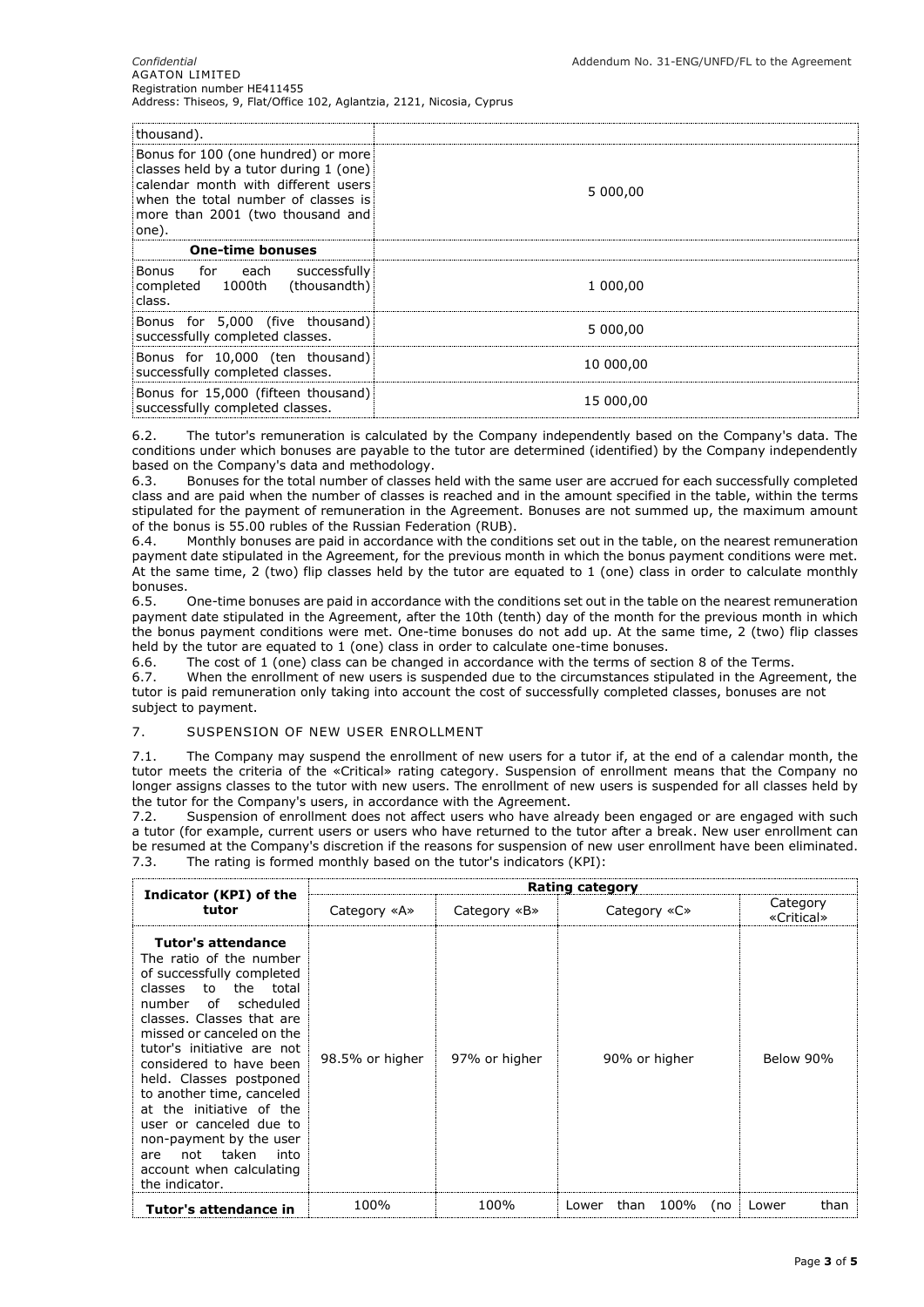| thousand).                                                                                                                                                                                               |           |
|----------------------------------------------------------------------------------------------------------------------------------------------------------------------------------------------------------|-----------|
| Bonus for 100 (one hundred) or more<br>classes held by a tutor during 1 (one)<br>calendar month with different users<br>when the total number of classes is<br>more than 2001 (two thousand and<br>one). | 5 000,00  |
| <b>One-time bonuses</b>                                                                                                                                                                                  |           |
| Bonus for each successfully<br>completed 1000th (thousandth)<br>class.                                                                                                                                   | 1 000,00  |
| Bonus for 5,000 (five thousand)<br>successfully completed classes.                                                                                                                                       | 5 000,00  |
| Bonus for 10,000 (ten thousand)<br>successfully completed classes.                                                                                                                                       | 10 000,00 |
| Bonus for 15,000 (fifteen thousand)<br>successfully completed classes.                                                                                                                                   | 15 000,00 |

6.2. The tutor's remuneration is calculated by the Company independently based on the Company's data. The conditions under which bonuses are payable to the tutor are determined (identified) by the Company independently based on the Company's data and methodology.

6.3. Bonuses for the total number of classes held with the same user are accrued for each successfully completed class and are paid when the number of classes is reached and in the amount specified in the table, within the terms stipulated for the payment of remuneration in the Agreement. Bonuses are not summed up, the maximum amount of the bonus is 55.00 rubles of the Russian Federation (RUB).

6.4. Monthly bonuses are paid in accordance with the conditions set out in the table, on the nearest remuneration payment date stipulated in the Agreement, for the previous month in which the bonus payment conditions were met. At the same time, 2 (two) flip classes held by the tutor are equated to 1 (one) class in order to calculate monthly bonuses.

6.5. One-time bonuses are paid in accordance with the conditions set out in the table on the nearest remuneration payment date stipulated in the Agreement, after the 10th (tenth) day of the month for the previous month in which the bonus payment conditions were met. One-time bonuses do not add up. At the same time, 2 (two) flip classes held by the tutor are equated to 1 (one) class in order to calculate one-time bonuses.

6.6. The cost of 1 (one) class can be changed in accordance with the terms of section 8 of the Terms.

6.7. When the enrollment of new users is suspended due to the circumstances stipulated in the Agreement, the tutor is paid remuneration only taking into account the cost of successfully completed classes, bonuses are not subject to payment.

## 7. SUSPENSION OF NEW USER ENROLLMENT

7.1. The Company may suspend the enrollment of new users for a tutor if, at the end of a calendar month, the tutor meets the criteria of the «Critical» rating category. Suspension of enrollment means that the Company no longer assigns classes to the tutor with new users. The enrollment of new users is suspended for all classes held by the tutor for the Company's users, in accordance with the Agreement.

7.2. Suspension of enrollment does not affect users who have already been engaged or are engaged with such a tutor (for example, current users or users who have returned to the tutor after a break. New user enrollment can be resumed at the Company's discretion if the reasons for suspension of new user enrollment have been eliminated. 7.3. The rating is formed monthly based on the tutor's indicators (KPI):

|                                                                                                                                                                                                                                                                                                                                                                                                                                                                                    | Rating category |               |                              |                        |
|------------------------------------------------------------------------------------------------------------------------------------------------------------------------------------------------------------------------------------------------------------------------------------------------------------------------------------------------------------------------------------------------------------------------------------------------------------------------------------|-----------------|---------------|------------------------------|------------------------|
| Indicator (KPI) of the<br>tutor                                                                                                                                                                                                                                                                                                                                                                                                                                                    | Category «A»    | Category «B»  | Category «C»                 | Category<br>«Critical» |
| Tutor's attendance<br>The ratio of the number<br>of successfully completed<br>the<br>classes<br>to<br>total<br>scheduled<br>number<br>of<br>classes. Classes that are<br>missed or canceled on the<br>tutor's initiative are not<br>considered to have been<br>held. Classes postponed<br>to another time, canceled<br>at the initiative of the<br>user or canceled due to<br>non-payment by the user<br>taken<br>not<br>into<br>are<br>account when calculating<br>the indicator. | 98.5% or higher | 97% or higher | 90% or higher                | Below 90%              |
| Tutor's attendance in                                                                                                                                                                                                                                                                                                                                                                                                                                                              | 100%            | 100%          | 100%<br>than<br>(no<br>Lower | than<br>Lower          |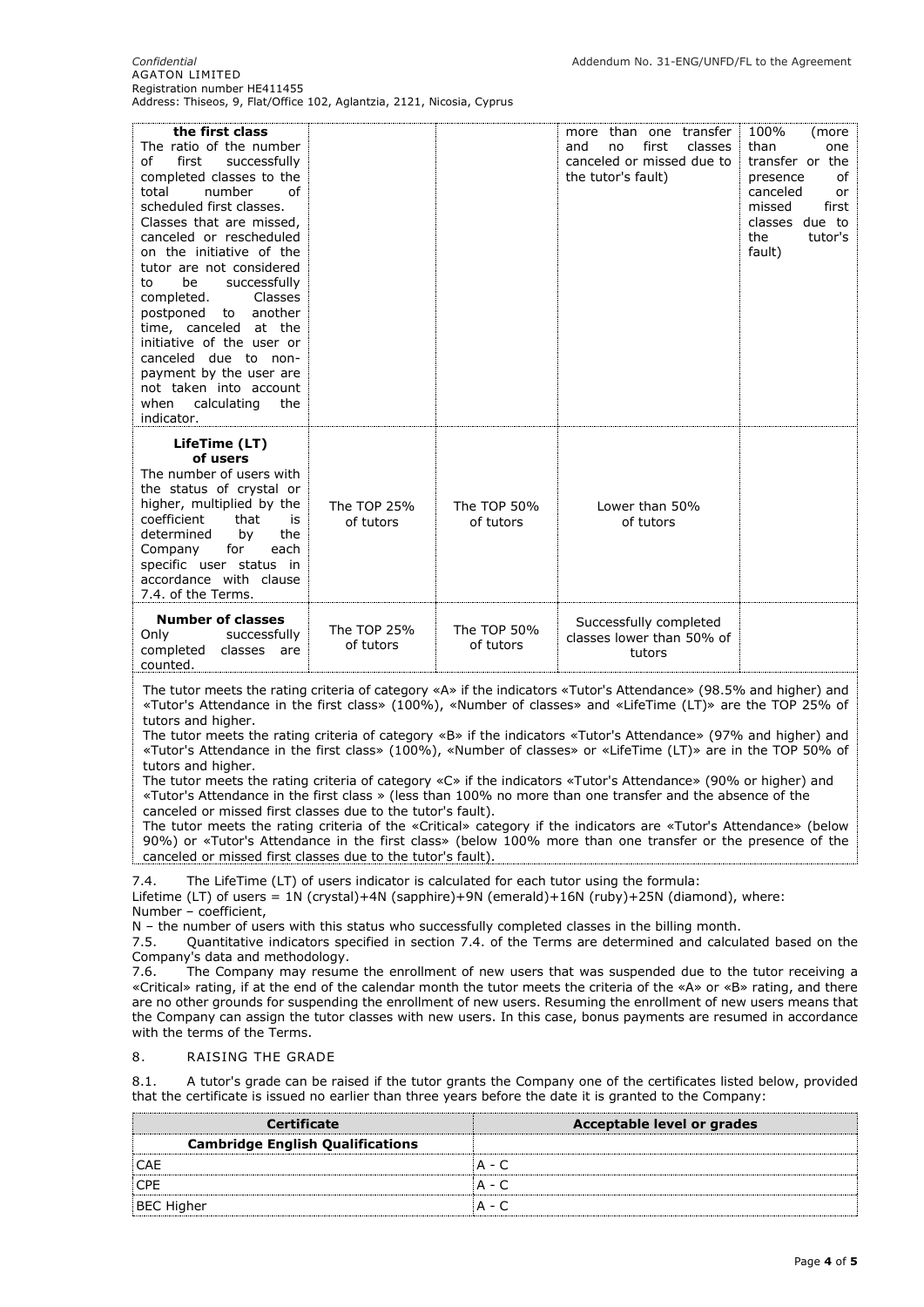*Confidential* Addendum No. 31-ENG/UNFD/FL to the Agreement AGATON LIMITED Registration number HE411455 Address: Thiseos, 9, Flat/Office 102, Aglantzia, 2121, Nicosia, Cyprus

| the first class<br>The ratio of the number<br>of<br>first<br>successfully<br>completed classes to the<br>total<br>number<br>of<br>scheduled first classes.<br>Classes that are missed,<br>canceled or rescheduled<br>on the initiative of the<br>tutor are not considered<br>be<br>successfully<br>to<br>completed.<br>Classes<br>postponed<br>to another<br>time, canceled at the<br>initiative of the user or<br>canceled due to non-<br>payment by the user are<br>not taken into account<br>when<br>calculating<br>the<br>indicator.                                                                                                                                                                                                     |                          |                          | more than one transfer<br>first<br>classes<br>and<br>no<br>canceled or missed due to<br>the tutor's fault) | 100%<br>(more<br>than<br>one<br>transfer or the<br>οf<br>presence<br>canceled<br>or<br>missed<br>first<br>classes due to<br>the<br>tutor's<br>fault) |
|----------------------------------------------------------------------------------------------------------------------------------------------------------------------------------------------------------------------------------------------------------------------------------------------------------------------------------------------------------------------------------------------------------------------------------------------------------------------------------------------------------------------------------------------------------------------------------------------------------------------------------------------------------------------------------------------------------------------------------------------|--------------------------|--------------------------|------------------------------------------------------------------------------------------------------------|------------------------------------------------------------------------------------------------------------------------------------------------------|
| LifeTime (LT)<br>of users<br>The number of users with<br>the status of crystal or<br>higher, multiplied by the<br>coefficient<br>that<br>is<br>determined<br>the<br>by<br>Company<br>for<br>each<br>specific user status in<br>accordance with clause<br>7.4. of the Terms.                                                                                                                                                                                                                                                                                                                                                                                                                                                                  | The TOP 25%<br>of tutors | The TOP 50%<br>of tutors | Lower than 50%<br>of tutors                                                                                |                                                                                                                                                      |
| <b>Number of classes</b><br>Only<br>successfully<br>completed classes are<br>counted.                                                                                                                                                                                                                                                                                                                                                                                                                                                                                                                                                                                                                                                        | The TOP 25%<br>of tutors | The TOP 50%<br>of tutors | Successfully completed<br>classes lower than 50% of<br>tutors                                              |                                                                                                                                                      |
| The tutor meets the rating criteria of category «A» if the indicators «Tutor's Attendance» (98.5% and higher) and<br>«Tutor's Attendance in the first class» (100%), «Number of classes» and «LifeTime (LT)» are the TOP 25% of<br>tutors and higher.<br>the state of the state of the state of the state of the state of the state of the state of the state of the state of the state of the state of the state of the state of the state of the state of the state of the state of t<br>$\overline{r}$ and the set of the set of the set of the set of the set of the set of the set of the set of the set of the set of the set of the set of the set of the set of the set of the set of the set of the set of the set of<br>$\sqrt{2}$ |                          |                          |                                                                                                            |                                                                                                                                                      |

The tutor meets the rating criteria of category «B» if the indicators «Tutor's Attendance» (97% and higher) and «Tutor's Attendance in the first class» (100%), «Number of classes» or «LifeTime (LT)» are in the TOP 50% of tutors and higher.

The tutor meets the rating criteria of category «C» if the indicators «Tutor's Attendance» (90% or higher) and «Tutor's Attendance in the first class » (less than 100% no more than one transfer and the absence of the canceled or missed first classes due to the tutor's fault).

The tutor meets the rating criteria of the «Critical» category if the indicators are «Tutor's Attendance» (below 90%) or «Tutor's Attendance in the first class» (below 100% more than one transfer or the presence of the canceled or missed first classes due to the tutor's fault).

7.4. The LifeTime (LT) of users indicator is calculated for each tutor using the formula:

Lifetime (LT) of users = 1N (crystal)+4N (sapphire)+9N (emerald)+16N (ruby)+25N (diamond), where: Number – coefficient,

N – the number of users with this status who successfully completed classes in the billing month.<br>7.5. Ouantitative indicators specified in section 7.4. of the Terms are determined and calcul

7.5. Quantitative indicators specified in section 7.4. of the Terms are determined and calculated based on the Company's data and methodology.

7.6. The Company may resume the enrollment of new users that was suspended due to the tutor receiving a «Critical» rating, if at the end of the calendar month the tutor meets the criteria of the «A» or «B» rating, and there are no other grounds for suspending the enrollment of new users. Resuming the enrollment of new users means that the Company can assign the tutor classes with new users. In this case, bonus payments are resumed in accordance with the terms of the Terms.

#### 8. RAISING THE GRADE

8.1. A tutor's grade can be raised if the tutor grants the Company one of the certificates listed below, provided that the certificate is issued no earlier than three years before the date it is granted to the Company:

| <b>Certificate</b>                      | Acceptable level or grades |
|-----------------------------------------|----------------------------|
| <b>Cambridge English Qualifications</b> |                            |
| CAE                                     | A - (                      |
| <b>CPE</b>                              | A - 0                      |
| <b>BEC Higher</b>                       | A - C                      |